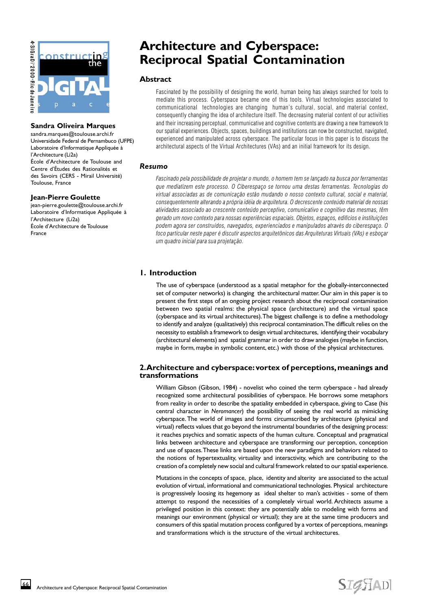



#### **Sandra Oliveira Marques**

sandra.marques@toulouse.archi.fr Universidade Federal de Pernambuco (UFPE) Laboratoire d'Informatique Appliquée à l'Architecture (Li2a) École d'Architecture de Toulouse and Centre d'Études des Rationalités et des Savoirs (CERS - Mirail Université) Toulouse, France

#### **Jean-Pierre Goulette**

jean-pierre.goulette@toulouse.archi.fr Laboratoire d'Informatique Appliquée à l'Architecture (Li2a) École d'Architecture de Toulouse France

# **Architecture and Cyberspace: Reciprocal Spatial Contamination**

#### **Abstract**

Fascinated by the possibility of designing the world, human being has always searched for tools to mediate this process. Cyberspace became one of this tools. Virtual technologies associated to communicational technologies are changing human's cultural, social, and material context, consequently changing the idea of architecture itself. The decreasing material content of our activities and their increasing perceptual, communicative and cognitive contents are drawing a new framework to our spatial experiences. Objects, spaces, buildings and institutions can now be constructed, navigated, experienced and manipulated across cyberspace. The particular focus in this paper is to discuss the architectural aspects of the Virtual Architectures (VAs) and an initial framework for its design.

## *Resumo*

Fascinado pela possibilidade de projetar o mundo, o homem tem se lançado na busca por ferramentas que mediatizem este processo. O Ciberespaço se tornou uma destas ferramentas. Tecnologias do virtual associadas as de comunicação estão mudando o nosso contexto cultural, social e material, consequentemente alterando a própria idéia de arquitetura. O decrescente conteúdo material de nossas atividades associado ao crescente conteúdo perceptivo, comunicativo e cognitivo das mesmas, têm gerado um novo contexto para nossas experiências espaciais. Objetos, espaços, edifícios e instituições podem agora ser construídos, navegados, experienciados e manipulados através do ciberespaço. O foco particular neste paper é discutir aspectos arquitetônicos das Arquiteturas Virtuais (VAs) e esboçar um quadro inicial para sua projetação.

# **1. Introduction**

The use of cyberspace (understood as a spatial metaphor for the globally-interconnected set of computer networks) is changing the architectural matter. Our aim in this paper is to present the first steps of an ongoing project research about the reciprocal contamination between two spatial realms: the physical space (architecture) and the virtual space (cyberspace and its virtual architectures). The biggest challenge is to define a methodology to identify and analyze (qualitatively) this reciprocal contamination. The difficult relies on the necessity to establish a framework to design virtual architectures, identifying their vocabulary (architectural elements) and spatial grammar in order to draw analogies (maybe in function, maybe in form, maybe in symbolic content, etc.) with those of the physical architectures.

## **2. Architecture and cyberspace: vortex of perceptions, meanings and transformations**

William Gibson (Gibson, 1984) - novelist who coined the term cyberspace - had already recognized some architectural possibilities of cyberspace. He borrows some metaphors from reality in order to describe the spatiality embedded in cyberspace, giving to Case (his central character in *Neromancer*) the possibility of seeing the real world as mimicking cyberspace. The world of images and forms circumscribed by architecture (physical and virtual) reflects values that go beyond the instrumental boundaries of the designing process: it reaches psychics and somatic aspects of the human culture. Conceptual and pragmatical links between architecture and cyberspace are transforming our perception, conception and use of spaces. These links are based upon the new paradigms and behaviors related to the notions of hypertextuality, virtuality and interactivity, which are contributing to the creation of a completely new social and cultural framework related to our spatial experience.

Mutations in the concepts of space, place, identity and alterity are associated to the actual evolution of virtual, informational and communicational technologies. Physical architecture is progressively loosing its hegemony as ideal shelter to man's activities - some of them attempt to respond the necessities of a completely virtual world. Architects assume a privileged position in this context: they are potentially able to modeling with forms and meanings our environment (physical or virtual); they are at the same time producers and consumers of this spatial mutation process configured by a vortex of perceptions, meanings and transformations which is the structure of the virtual architectures.

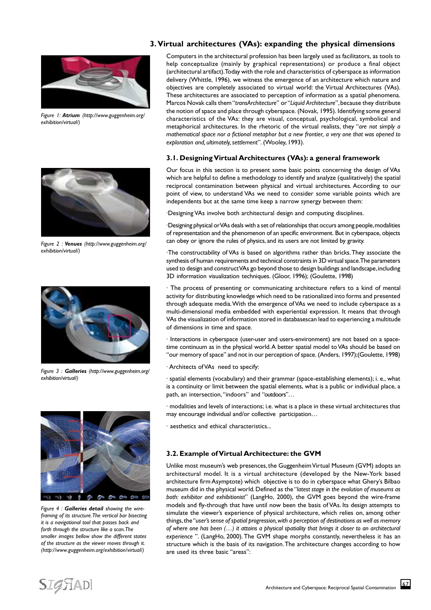

*Figure 1: Atrium (http://www.guggenheim.org/ exhibition/virtual/)*



*Figure 2 : Venues (http://www.guggenheim.org/ exhibition/virtual/)*



*Figure 3 : Galleries (http://www.guggenheim.org/ exhibition/virtual/)*



*Figure 4 : Galleries detail showing the wireframing of its structure. The vertical bar bisecting it is a navigational tool that passes back and forth through the structure like a scan. The smaller images bellow show the different states of the structure as the viewer moves through it. (http://www.guggenheim.org/exhibition/virtual/)*

#### **3. Virtual architectures (VAs): expanding the physical dimensions**

Computers in the architectural profession has been largely used as facilitators, as tools to help conceptualize (mainly by graphical representations) or produce a final object (architectural artifact). Today with the role and characteristics of cyberspace as information delivery (Whittle, 1996), we witness the emergence of an architecture which nature and objectives are completely associated to virtual world: the Virtual Architectures (VAs). These architectures are associated to perception of information as a spatial phenomena. Marcos Novak calls them "*transArchitecture*" or "*Liquid Architecture*", because they distribute the notion of space and place through cyberspace. (Novak, 1995). Identifying some general characteristics of the VAs: they are visual, conceptual, psychological, symbolical and metaphorical architectures. In the rhetoric of the virtual realists, they "*are not simply a mathematical space nor a fictional metaphor but a new frontier, a very one that was opened to exploration and, ultimately, settlement*". (Wooley, 1993).

#### **3.1. Designing Virtual Architectures (VAs): a general framework**

Our focus in this section is to present some basic points concerning the design of VAs which are helpful to define a methodology to identify and analyze (qualitatively) the spatial reciprocal contamination between physical and virtual architectures. According to our point of view, to understand VAs we need to consider some variable points which are independents but at the same time keep a narrow synergy between them:

·Designing VAs involve both architectural design and computing disciplines.

·Designing physical or VAs deals with a set of relationships that occurs among people, modalities of representation and the phenomenon of an specific environment. But in cyberspace, objects can obey or ignore the rules of physics, and its users are not limited by gravity.

·The constructability of VAs is based on algorithms rather than bricks. They associate the synthesis of human requirements and technical constraints in 3D virtual space. The parameters used to design and construct VAs go beyond those to design buildings and landscape, including 3D information visualization techniques. (Gloor, 1996); (Goulette, 1998)

· The process of presenting or communicating architecture refers to a kind of mental activity for distributing knowledge which need to be rationalized into forms and presented through adequate media. With the emergence of VAs we need to include cyberspace as a multi-dimensional media embedded with experiential expression. It means that through VAs the visualization of information stored in databasescan lead to experiencing a multitude of dimensions in time and space.

· Interactions in cyberspace (user-user and users-environment) are not based on a spacetime continuum as in the physical world. A better spatial model to VAs should be based on "our memory of space" and not in our perception of space. (Anders, 1997);(Goulette, 1998)

· Architects of VAs need to specify:

· spatial elements (vocabulary) and their grammar (space-establishing elements); i. e., what is a continuity or limit between the spatial elements, what is a public or individual place, a path, an intersection, "indoors" and "outdoors"…

· modalities and levels of interactions; i.e. what is a place in these virtual architectures that may encourage individual and/or collective participation…

· aesthetics and ethical characteristics...

#### **3.2. Example of Virtual Architecture: the GVM**

Unlike most museum's web presences, the Guggenheim Virtual Museum (GVM) adopts an architectural model. It is a virtual architecture (developed by the New-York based architecture firm Asymptote) which objective is to do in cyberspace what Ghery's Bilbao museum did in the physical world. Defined as the "*latest stage in the evolution of museums as both: exhibitor and exhibitionist*" (LangHo, 2000), the GVM goes beyond the wire-frame models and fly-through that have until now been the basis of VAs. Its design attempts to simulate the viewer's experience of physical architecture, which relies on, among other things, the "*user's sense of spatial progression, with a perception of destinations as well as memory of where one has been (…) it attains a physical spatiality that brings it closer to an architectural experience* ". (LangHo, 2000). The GVM shape morphs constantly, nevertheless it has an structure which is the basis of its navigation. The architecture changes according to how are used its three basic "areas":